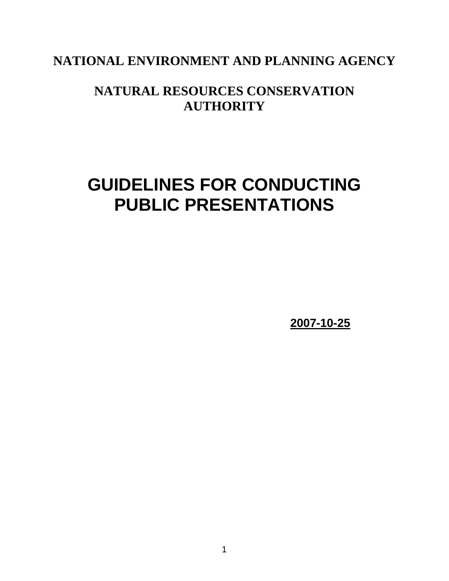## **NATIONAL ENVIRONMENT AND PLANNING AGENCY**

# **NATURAL RESOURCES CONSERVATION AUTHORITY**

# **GUIDELINES FOR CONDUCTING PUBLIC PRESENTATIONS**

**2007-10-25**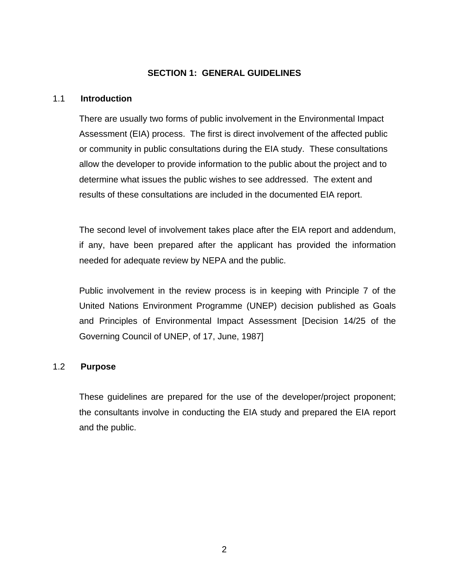### **SECTION 1: GENERAL GUIDELINES**

#### 1.1 **Introduction**

There are usually two forms of public involvement in the Environmental Impact Assessment (EIA) process. The first is direct involvement of the affected public or community in public consultations during the EIA study. These consultations allow the developer to provide information to the public about the project and to determine what issues the public wishes to see addressed. The extent and results of these consultations are included in the documented EIA report.

The second level of involvement takes place after the EIA report and addendum, if any, have been prepared after the applicant has provided the information needed for adequate review by NEPA and the public.

Public involvement in the review process is in keeping with Principle 7 of the United Nations Environment Programme (UNEP) decision published as Goals and Principles of Environmental Impact Assessment [Decision 14/25 of the Governing Council of UNEP, of 17, June, 1987]

#### 1.2 **Purpose**

These guidelines are prepared for the use of the developer/project proponent; the consultants involve in conducting the EIA study and prepared the EIA report and the public.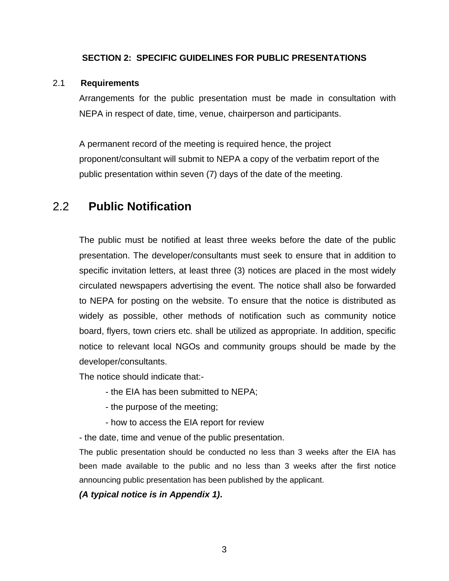### **SECTION 2: SPECIFIC GUIDELINES FOR PUBLIC PRESENTATIONS**

#### 2.1 **Requirements**

Arrangements for the public presentation must be made in consultation with NEPA in respect of date, time, venue, chairperson and participants.

A permanent record of the meeting is required hence, the project proponent/consultant will submit to NEPA a copy of the verbatim report of the public presentation within seven (7) days of the date of the meeting.

### 2.2 **Public Notification**

The public must be notified at least three weeks before the date of the public presentation. The developer/consultants must seek to ensure that in addition to specific invitation letters, at least three (3) notices are placed in the most widely circulated newspapers advertising the event. The notice shall also be forwarded to NEPA for posting on the website. To ensure that the notice is distributed as widely as possible, other methods of notification such as community notice board, flyers, town criers etc. shall be utilized as appropriate. In addition, specific notice to relevant local NGOs and community groups should be made by the developer/consultants.

The notice should indicate that:-

- the EIA has been submitted to NEPA;
- the purpose of the meeting;
- how to access the EIA report for review

- the date, time and venue of the public presentation.

The public presentation should be conducted no less than 3 weeks after the EIA has been made available to the public and no less than 3 weeks after the first notice announcing public presentation has been published by the applicant.

*(A typical notice is in Appendix 1)***.**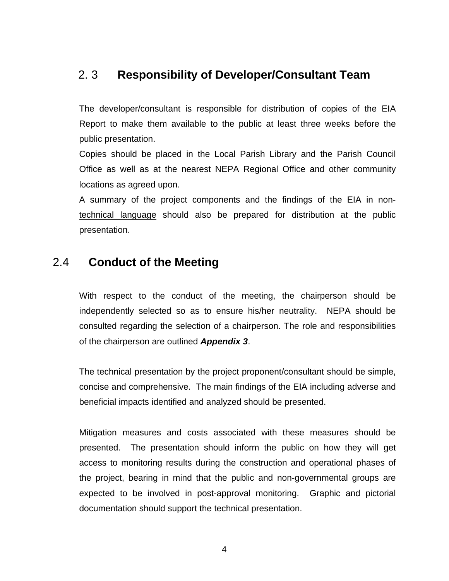### 2. 3 **Responsibility of Developer/Consultant Team**

The developer/consultant is responsible for distribution of copies of the EIA Report to make them available to the public at least three weeks before the public presentation.

Copies should be placed in the Local Parish Library and the Parish Council Office as well as at the nearest NEPA Regional Office and other community locations as agreed upon.

A summary of the project components and the findings of the EIA in nontechnical language should also be prepared for distribution at the public presentation.

### 2.4 **Conduct of the Meeting**

With respect to the conduct of the meeting, the chairperson should be independently selected so as to ensure his/her neutrality. NEPA should be consulted regarding the selection of a chairperson. The role and responsibilities of the chairperson are outlined *Appendix 3*.

The technical presentation by the project proponent/consultant should be simple, concise and comprehensive. The main findings of the EIA including adverse and beneficial impacts identified and analyzed should be presented.

Mitigation measures and costs associated with these measures should be presented. The presentation should inform the public on how they will get access to monitoring results during the construction and operational phases of the project, bearing in mind that the public and non-governmental groups are expected to be involved in post-approval monitoring. Graphic and pictorial documentation should support the technical presentation.

4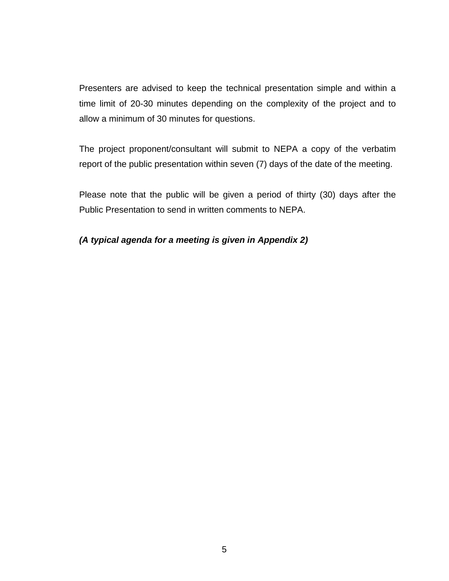Presenters are advised to keep the technical presentation simple and within a time limit of 20-30 minutes depending on the complexity of the project and to allow a minimum of 30 minutes for questions.

The project proponent/consultant will submit to NEPA a copy of the verbatim report of the public presentation within seven (7) days of the date of the meeting.

Please note that the public will be given a period of thirty (30) days after the Public Presentation to send in written comments to NEPA.

### *(A typical agenda for a meeting is given in Appendix 2)*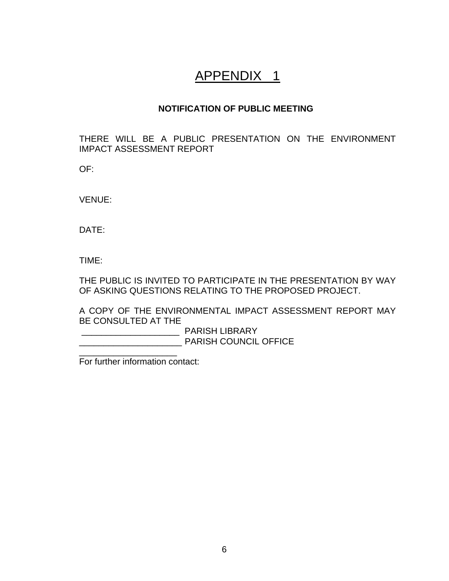# APPENDIX 1

### **NOTIFICATION OF PUBLIC MEETING**

THERE WILL BE A PUBLIC PRESENTATION ON THE ENVIRONMENT IMPACT ASSESSMENT REPORT

OF:

VENUE:

DATE:

TIME:

THE PUBLIC IS INVITED TO PARTICIPATE IN THE PRESENTATION BY WAY OF ASKING QUESTIONS RELATING TO THE PROPOSED PROJECT.

A COPY OF THE ENVIRONMENTAL IMPACT ASSESSMENT REPORT MAY BE CONSULTED AT THE

 \_\_\_\_\_\_\_\_\_\_\_\_\_\_\_\_\_\_\_\_ PARISH LIBRARY \_\_\_\_\_\_\_\_\_\_\_\_\_\_\_\_\_\_\_\_\_ PARISH COUNCIL OFFICE

For further information contact:

\_\_\_\_\_\_\_\_\_\_\_\_\_\_\_\_\_\_\_\_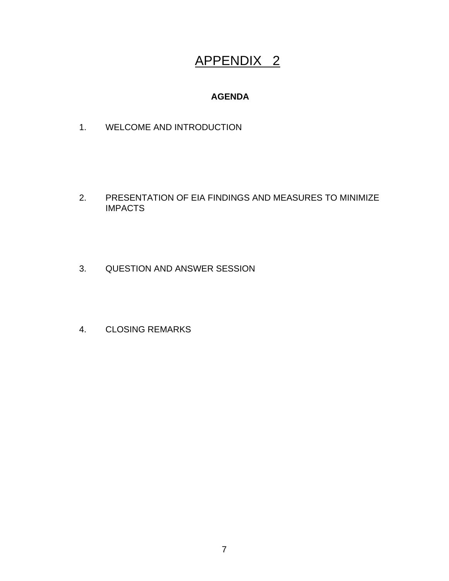# APPENDIX 2

### **AGENDA**

1. WELCOME AND INTRODUCTION

- 2. PRESENTATION OF EIA FINDINGS AND MEASURES TO MINIMIZE IMPACTS
- 3. QUESTION AND ANSWER SESSION
- 4. CLOSING REMARKS